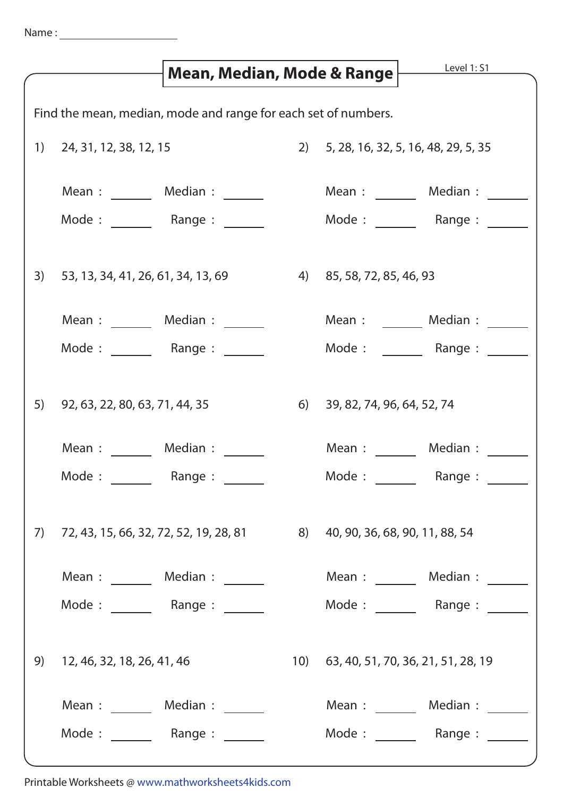|                                                                |                                   | Mean, Median, Mode & Range                                                         |  |                                        | Level 1: S1                                                                        |  |
|----------------------------------------------------------------|-----------------------------------|------------------------------------------------------------------------------------|--|----------------------------------------|------------------------------------------------------------------------------------|--|
| Find the mean, median, mode and range for each set of numbers. |                                   |                                                                                    |  |                                        |                                                                                    |  |
|                                                                | $1)$ 24, 31, 12, 38, 12, 15       |                                                                                    |  | 2) 5, 28, 16, 32, 5, 16, 48, 29, 5, 35 |                                                                                    |  |
|                                                                |                                   | Mean : ________ Median : _______                                                   |  | Mean : ________ Median : _____         |                                                                                    |  |
|                                                                |                                   | Mode: Range:                                                                       |  | Mode : ________ Range : ____           |                                                                                    |  |
| 3)                                                             |                                   | 53, 13, 34, 41, 26, 61, 34, 13, 69 (4) 85, 58, 72, 85, 46, 93                      |  |                                        |                                                                                    |  |
|                                                                |                                   | Mean: Median:                                                                      |  | Mean : Median :                        |                                                                                    |  |
|                                                                | Mode: Range:                      |                                                                                    |  |                                        | Mode : _______ Range : _____                                                       |  |
|                                                                | 5) 92, 63, 22, 80, 63, 71, 44, 35 |                                                                                    |  | 6) 39, 82, 74, 96, 64, 52, 74          |                                                                                    |  |
|                                                                | Mean: Median:                     |                                                                                    |  | Mean :                                 | Median :                                                                           |  |
|                                                                | Mode:                             | Range:                                                                             |  | Mode: Range:                           |                                                                                    |  |
| 7)                                                             |                                   | 72, 43, 15, 66, 32, 72, 52, 19, 28, 81 8) 40, 90, 36, 68, 90, 11, 88, 54           |  |                                        |                                                                                    |  |
|                                                                |                                   | Mean : ________ Median : _______                                                   |  |                                        | Mean : ________ Median : _______                                                   |  |
|                                                                |                                   | Mode : $\frac{1}{\sqrt{1-\frac{1}{2}}}\$ Range : $\frac{1}{\sqrt{1-\frac{1}{2}}}\$ |  |                                        | Mode : $\frac{1}{\sqrt{1-\frac{1}{2}}}\$ Range : $\frac{1}{\sqrt{1-\frac{1}{2}}}\$ |  |
| 9)                                                             | 12, 46, 32, 18, 26, 41, 46        |                                                                                    |  | 10) 63, 40, 51, 70, 36, 21, 51, 28, 19 |                                                                                    |  |
|                                                                |                                   | Mean: Median:                                                                      |  |                                        | Mean: Median:                                                                      |  |
|                                                                |                                   | Mode: Range: Node:                                                                 |  |                                        | Mode : _______ Range : ______                                                      |  |

Printable Worksheets @ www.mathworksheets4kids.com